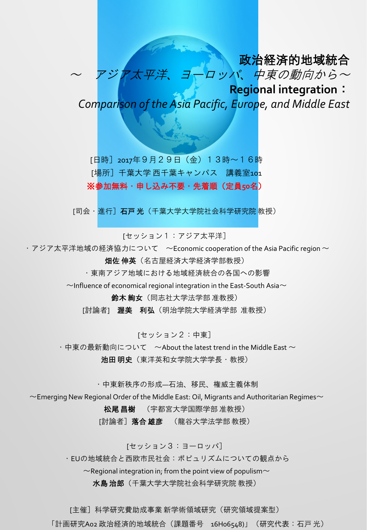## 政治経済的地域統合

~ アジア大平 ヨーロッパ、中東の動向から~ **Regional integration**:

*Comparison of the Asia Pacific, Europe, and Middle East*

[日時]2017年9月29日(金)13時~16時 [場所] 千葉大学 西千葉キャンパス 講義室101 ※参加無料・申し込み不要・先着順(定員**50**名)

[司会·進行] 石戸 光(千葉大学大学院社会科学研究院 教授)

[セッション1:アジア太平洋]

・アジア太平洋地域の経済協力について  $~\sim$ Economic cooperation of the Asia Pacific region  $\sim$ 

畑佐 伸英(名古屋経済大学経済学部教授)

・東南アジア地域における地域経済統合の各国への影響

 $\sim$ Influence of economical regional integration in the East-South Asia $\sim$ 

鈴木 絢女(同志社大学法学部 准教授)

[討論者] 渥美 利弘 (明治学院大学経済学部 准教授)

[セッション2:中東]

・中東の最新動向について ~About the latest trend in the Middle East  $\sim$ 

池田 明史 (東洋英和女学院大学学長 · 教授)

・中東新秩序の形成―石油、移民、権威主義体制

 $\sim$ Emerging New Regional Order of the Middle East: Oil, Migrants and Authoritarian Regimes $\sim$ 

松尾 昌樹 (宇都宮大学国際学部 准教授)

[討論者]落合雄彦 (龍谷大学法学部教授)

[セッション3:ヨーロッパ]

・EUの地域統合と西欧市民社会:ポピュリズムについての観点から

 $\sim$ Regional integration in; from the point view of populism $\sim$ 

**水島 治郎**(千葉大学大学院社会科学研究院 教授)

[主催] 科学研究費助成事業 新学術領域研究(研究領域提案型)

「計画研究A02 政治経済的地域統合(課題番号 16H06548)」(研究代表:石戸光)